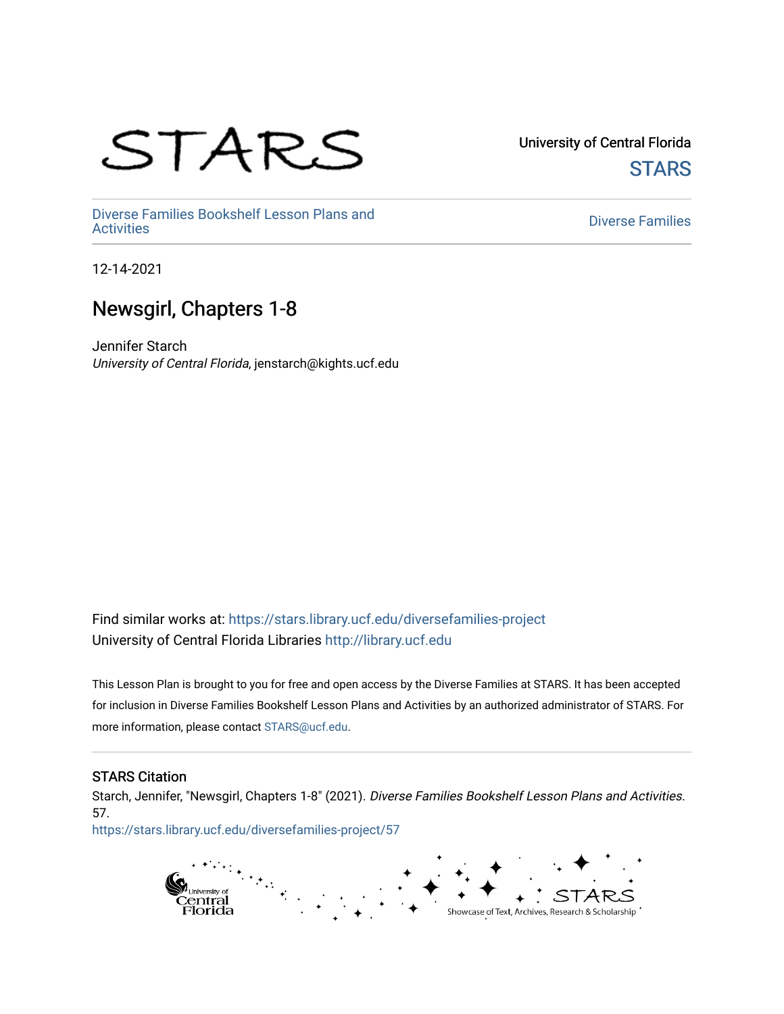# STARS

University of Central Florida **STARS** 

[Diverse Families Bookshelf Lesson Plans and](https://stars.library.ucf.edu/diversefamilies-project)  [Diverse Families](https://stars.library.ucf.edu/diversefamilies) Dooksherr Lesson Frans and Theorem Controller Chinese Families<br>Activities

12-14-2021

### Newsgirl, Chapters 1-8

Jennifer Starch University of Central Florida, jenstarch@kights.ucf.edu

Find similar works at: <https://stars.library.ucf.edu/diversefamilies-project> University of Central Florida Libraries [http://library.ucf.edu](http://library.ucf.edu/) 

This Lesson Plan is brought to you for free and open access by the Diverse Families at STARS. It has been accepted for inclusion in Diverse Families Bookshelf Lesson Plans and Activities by an authorized administrator of STARS. For more information, please contact [STARS@ucf.edu.](mailto:STARS@ucf.edu)

#### STARS Citation

Starch, Jennifer, "Newsgirl, Chapters 1-8" (2021). Diverse Families Bookshelf Lesson Plans and Activities. 57.

[https://stars.library.ucf.edu/diversefamilies-project/57](https://stars.library.ucf.edu/diversefamilies-project/57?utm_source=stars.library.ucf.edu%2Fdiversefamilies-project%2F57&utm_medium=PDF&utm_campaign=PDFCoverPages) 

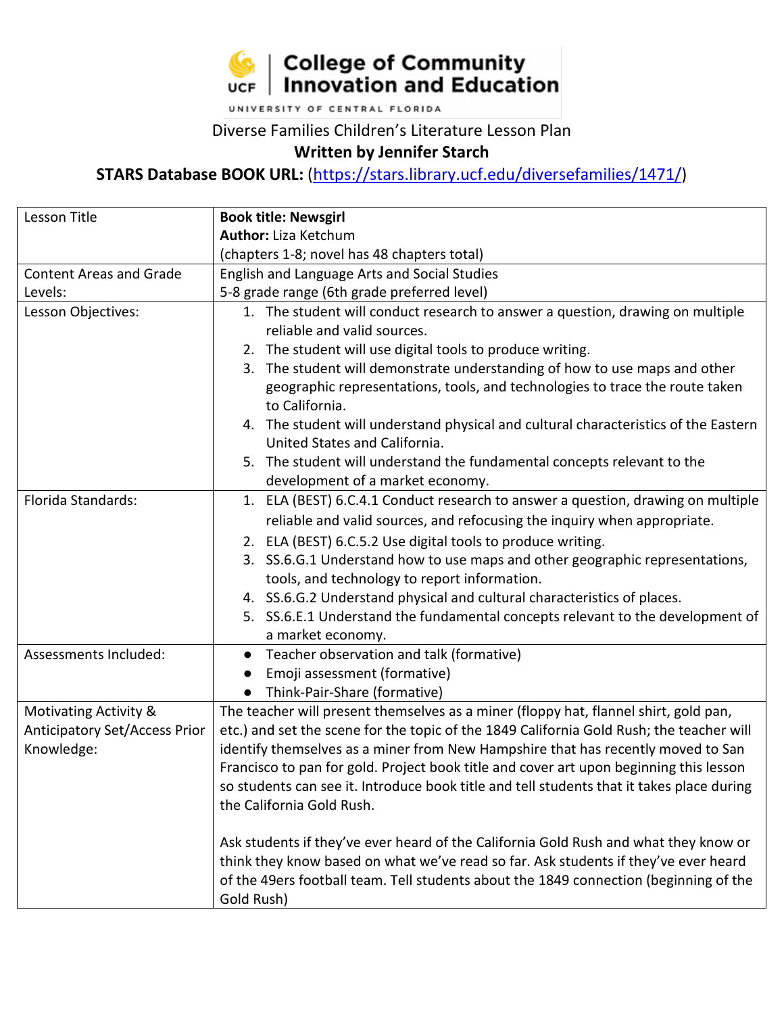

UNIVERSITY OF CENTRAL FLORIDA

#### Diverse Families Children's Literature Lesson Plan

#### **Written by Jennifer Starch**

**STARS Database BOOK URL:** [\(https://stars.library.ucf.edu/diversefamilies/1471/\)](https://stars.library.ucf.edu/diversefamilies/1471/)

| Lesson Title                   | <b>Book title: Newsgirl</b>                                                                    |
|--------------------------------|------------------------------------------------------------------------------------------------|
|                                | <b>Author:</b> Liza Ketchum                                                                    |
|                                | (chapters 1-8; novel has 48 chapters total)                                                    |
| <b>Content Areas and Grade</b> | English and Language Arts and Social Studies                                                   |
| Levels:                        | 5-8 grade range (6th grade preferred level)                                                    |
| Lesson Objectives:             | 1. The student will conduct research to answer a question, drawing on multiple                 |
|                                | reliable and valid sources.                                                                    |
|                                | 2. The student will use digital tools to produce writing.                                      |
|                                | 3. The student will demonstrate understanding of how to use maps and other                     |
|                                | geographic representations, tools, and technologies to trace the route taken<br>to California. |
|                                | 4. The student will understand physical and cultural characteristics of the Eastern            |
|                                | United States and California.                                                                  |
|                                | 5. The student will understand the fundamental concepts relevant to the                        |
|                                | development of a market economy.                                                               |
| Florida Standards:             | 1. ELA (BEST) 6.C.4.1 Conduct research to answer a question, drawing on multiple               |
|                                | reliable and valid sources, and refocusing the inquiry when appropriate.                       |
|                                | 2. ELA (BEST) 6.C.5.2 Use digital tools to produce writing.                                    |
|                                | 3. SS.6.G.1 Understand how to use maps and other geographic representations,                   |
|                                | tools, and technology to report information.                                                   |
|                                | 4. SS.6.G.2 Understand physical and cultural characteristics of places.                        |
|                                | 5. SS.6.E.1 Understand the fundamental concepts relevant to the development of                 |
|                                | a market economy.                                                                              |
| Assessments Included:          | Teacher observation and talk (formative)                                                       |
|                                | Emoji assessment (formative)                                                                   |
|                                | Think-Pair-Share (formative)                                                                   |
| Motivating Activity &          | The teacher will present themselves as a miner (floppy hat, flannel shirt, gold pan,           |
| Anticipatory Set/Access Prior  | etc.) and set the scene for the topic of the 1849 California Gold Rush; the teacher will       |
| Knowledge:                     | identify themselves as a miner from New Hampshire that has recently moved to San               |
|                                | Francisco to pan for gold. Project book title and cover art upon beginning this lesson         |
|                                | so students can see it. Introduce book title and tell students that it takes place during      |
|                                | the California Gold Rush.                                                                      |
|                                | Ask students if they've ever heard of the California Gold Rush and what they know or           |
|                                | think they know based on what we've read so far. Ask students if they've ever heard            |
|                                | of the 49ers football team. Tell students about the 1849 connection (beginning of the          |
|                                | Gold Rush)                                                                                     |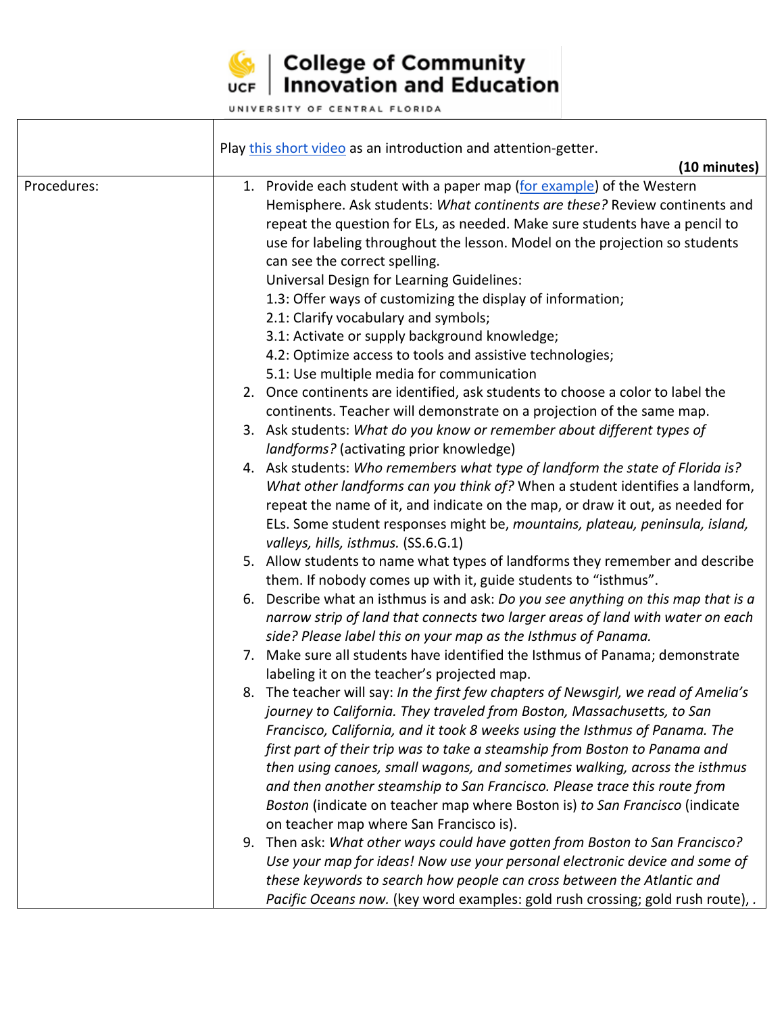

## $\left|\frac{1}{\sqrt{2}}\right|$  College of Community<br>UCF | Innovation and Education

UNIVERSITY OF CENTRAL FLORIDA

|             | Play this short video as an introduction and attention-getter.                                                                                                                                                                                                                                                                                                                                                                                                                                                                                                                                                                                                                                     |
|-------------|----------------------------------------------------------------------------------------------------------------------------------------------------------------------------------------------------------------------------------------------------------------------------------------------------------------------------------------------------------------------------------------------------------------------------------------------------------------------------------------------------------------------------------------------------------------------------------------------------------------------------------------------------------------------------------------------------|
| Procedures: | (10 minutes)<br>1. Provide each student with a paper map (for example) of the Western<br>Hemisphere. Ask students: What continents are these? Review continents and<br>repeat the question for ELs, as needed. Make sure students have a pencil to<br>use for labeling throughout the lesson. Model on the projection so students<br>can see the correct spelling.<br><b>Universal Design for Learning Guidelines:</b><br>1.3: Offer ways of customizing the display of information;<br>2.1: Clarify vocabulary and symbols;<br>3.1: Activate or supply background knowledge;<br>4.2: Optimize access to tools and assistive technologies;                                                         |
|             | 5.1: Use multiple media for communication<br>2. Once continents are identified, ask students to choose a color to label the<br>continents. Teacher will demonstrate on a projection of the same map.<br>3. Ask students: What do you know or remember about different types of<br>landforms? (activating prior knowledge)<br>4. Ask students: Who remembers what type of landform the state of Florida is?<br>What other landforms can you think of? When a student identifies a landform,<br>repeat the name of it, and indicate on the map, or draw it out, as needed for<br>ELs. Some student responses might be, mountains, plateau, peninsula, island,<br>valleys, hills, isthmus. (SS.6.G.1) |
|             | 5. Allow students to name what types of landforms they remember and describe<br>them. If nobody comes up with it, guide students to "isthmus".<br>6. Describe what an isthmus is and ask: Do you see anything on this map that is a<br>narrow strip of land that connects two larger areas of land with water on each<br>side? Please label this on your map as the Isthmus of Panama.<br>7. Make sure all students have identified the Isthmus of Panama; demonstrate                                                                                                                                                                                                                             |
|             | labeling it on the teacher's projected map.<br>8. The teacher will say: In the first few chapters of Newsgirl, we read of Amelia's<br>journey to California. They traveled from Boston, Massachusetts, to San<br>Francisco, California, and it took 8 weeks using the Isthmus of Panama. The<br>first part of their trip was to take a steamship from Boston to Panama and<br>then using canoes, small wagons, and sometimes walking, across the isthmus<br>and then another steamship to San Francisco. Please trace this route from<br>Boston (indicate on teacher map where Boston is) to San Francisco (indicate<br>on teacher map where San Francisco is).                                    |
|             | 9. Then ask: What other ways could have gotten from Boston to San Francisco?<br>Use your map for ideas! Now use your personal electronic device and some of<br>these keywords to search how people can cross between the Atlantic and<br>Pacific Oceans now. (key word examples: gold rush crossing; gold rush route), .                                                                                                                                                                                                                                                                                                                                                                           |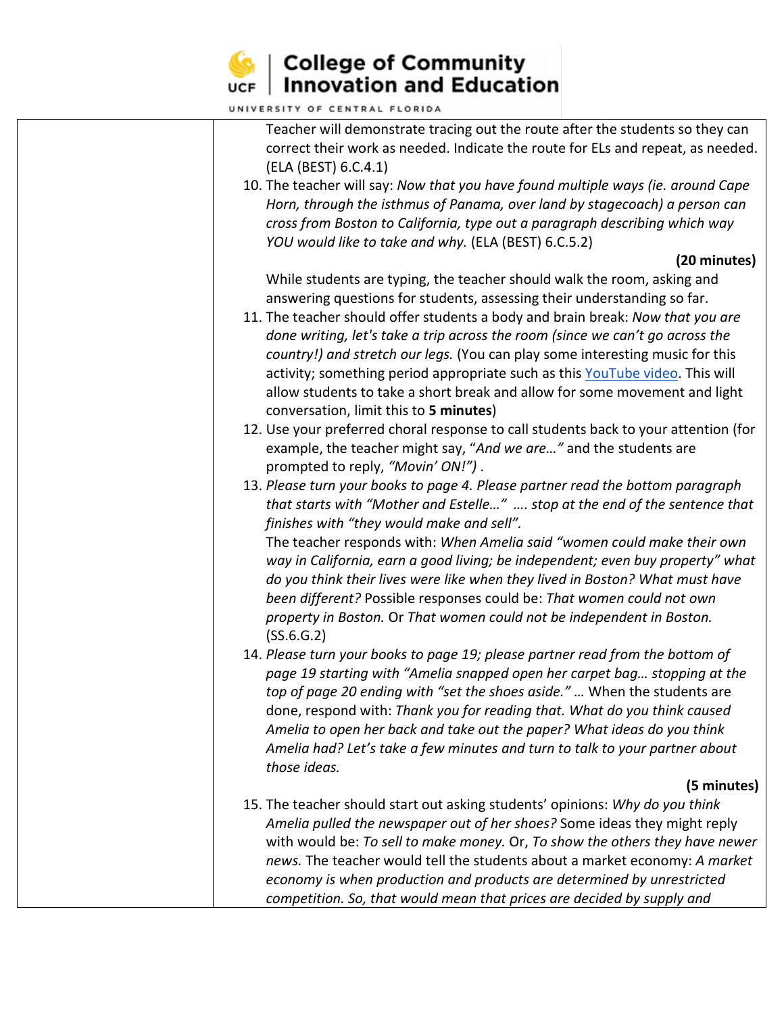

## $\left|\frac{1}{\sqrt{2}}\right|$  College of Community<br>UCF | Innovation and Education

| Teacher will demonstrate tracing out the route after the students so they can                           |  |
|---------------------------------------------------------------------------------------------------------|--|
| correct their work as needed. Indicate the route for ELs and repeat, as needed.<br>(ELA (BEST) 6.C.4.1) |  |
| 10. The teacher will say: Now that you have found multiple ways (ie. around Cape                        |  |
| Horn, through the isthmus of Panama, over land by stagecoach) a person can                              |  |
| cross from Boston to California, type out a paragraph describing which way                              |  |
| YOU would like to take and why. (ELA (BEST) 6.C.5.2)                                                    |  |
| (20 minutes)                                                                                            |  |
| While students are typing, the teacher should walk the room, asking and                                 |  |
| answering questions for students, assessing their understanding so far.                                 |  |
| 11. The teacher should offer students a body and brain break: Now that you are                          |  |
|                                                                                                         |  |
| done writing, let's take a trip across the room (since we can't go across the                           |  |
| country!) and stretch our legs. (You can play some interesting music for this                           |  |
| activity; something period appropriate such as this YouTube video. This will                            |  |
| allow students to take a short break and allow for some movement and light                              |  |
| conversation, limit this to 5 minutes)                                                                  |  |
| 12. Use your preferred choral response to call students back to your attention (for                     |  |
| example, the teacher might say, "And we are" and the students are                                       |  |
| prompted to reply, "Movin' ON!").                                                                       |  |
| 13. Please turn your books to page 4. Please partner read the bottom paragraph                          |  |
| that starts with "Mother and Estelle"  stop at the end of the sentence that                             |  |
| finishes with "they would make and sell".                                                               |  |
| The teacher responds with: When Amelia said "women could make their own                                 |  |
| way in California, earn a good living; be independent; even buy property" what                          |  |
| do you think their lives were like when they lived in Boston? What must have                            |  |
| been different? Possible responses could be: That women could not own                                   |  |
| property in Boston. Or That women could not be independent in Boston.                                   |  |
| (SS.6.G.2)                                                                                              |  |
| 14. Please turn your books to page 19; please partner read from the bottom of                           |  |
| page 19 starting with "Amelia snapped open her carpet bag stopping at the                               |  |
| top of page 20 ending with "set the shoes aside."  When the students are                                |  |
| done, respond with: Thank you for reading that. What do you think caused                                |  |
| Amelia to open her back and take out the paper? What ideas do you think                                 |  |
| Amelia had? Let's take a few minutes and turn to talk to your partner about                             |  |
| those ideas.                                                                                            |  |
| (5 minutes)                                                                                             |  |
| 15. The teacher should start out asking students' opinions: Why do you think                            |  |
| Amelia pulled the newspaper out of her shoes? Some ideas they might reply                               |  |
| with would be: To sell to make money. Or, To show the others they have newer                            |  |
| news. The teacher would tell the students about a market economy: A market                              |  |
| economy is when production and products are determined by unrestricted                                  |  |
| competition. So, that would mean that prices are decided by supply and                                  |  |
|                                                                                                         |  |